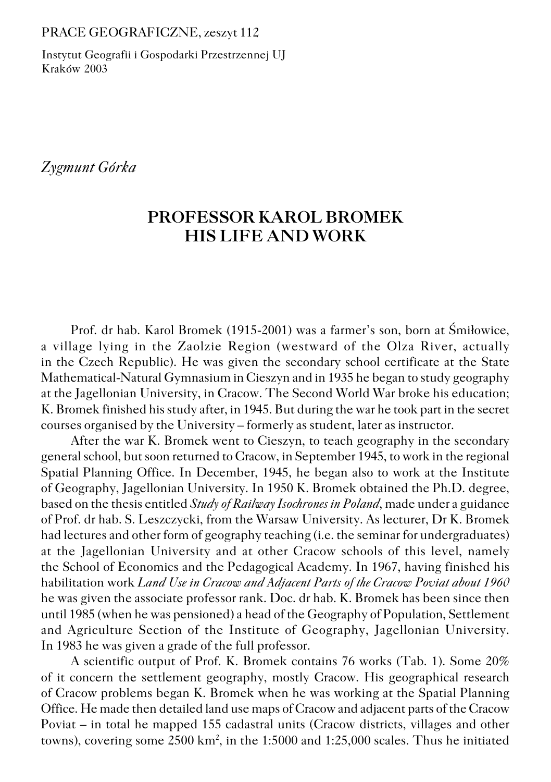#### PRACE GEOGRAFICZNE, zeszyt 112

Instytut Geografii i Gospodarki Przestrzennej UJ Kraków 2003

*Zygmunt Górka*

# **PROFESSOR KAROL BROMEK HIS LIFE AND WORK**

Prof. dr hab. Karol Bromek (1915−2001) was a farmer's son, born at Śmiłowice, a village lying in the Zaolzie Region (westward of the Olza River, actually in the Czech Republic). He was given the secondary school certificate at the State Mathematical−Natural Gymnasium in Cieszyn and in 1935 he began to study geography at the Jagellonian University, in Cracow. The Second World War broke his education; K. Bromek finished his study after, in 1945. But during the war he took part in the secret courses organised by the University – formerly as student, later as instructor.

After the war K. Bromek went to Cieszyn, to teach geography in the secondary general school, but soon returned to Cracow, in September 1945, to work in the regional Spatial Planning Office. In December, 1945, he began also to work at the Institute of Geography, Jagellonian University. In 1950 K. Bromek obtained the Ph.D. degree, based on the thesis entitled *Study of Railway Isochrones in Poland*, made under a guidance of Prof. dr hab. S. Leszczycki, from the Warsaw University. As lecturer, Dr K. Bromek had lectures and other form of geography teaching (i.e. the seminar for undergraduates) at the Jagellonian University and at other Cracow schools of this level, namely the School of Economics and the Pedagogical Academy. In 1967, having finished his habilitation work *Land Use in Cracow and Adjacent Parts of the Cracow Poviat about 1960* he was given the associate professor rank. Doc. dr hab. K. Bromek has been since then until 1985 (when he was pensioned) a head of the Geography of Population, Settlement and Agriculture Section of the Institute of Geography, Jagellonian University. In 1983 he was given a grade of the full professor.

A scientific output of Prof. K. Bromek contains 76 works (Tab. 1). Some 20% of it concern the settlement geography, mostly Cracow. His geographical research of Cracow problems began K. Bromek when he was working at the Spatial Planning Office. He made then detailed land use maps of Cracow and adjacent parts of the Cracow Poviat – in total he mapped 155 cadastral units (Cracow districts, villages and other towns), covering some 2500 km<sup>2</sup>, in the 1:5000 and 1:25,000 scales. Thus he initiated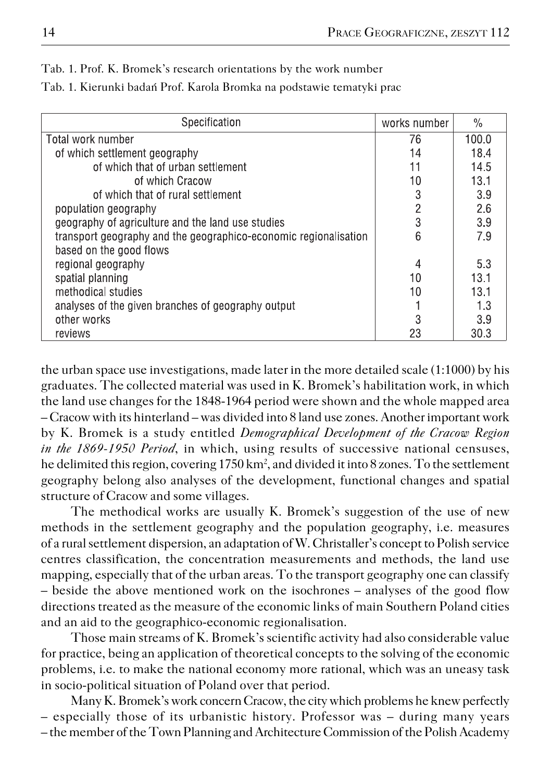| Specification                                                    | works number   | $\frac{0}{0}$ |
|------------------------------------------------------------------|----------------|---------------|
| Total work number                                                | 76             | 100.0         |
| of which settlement geography                                    | 14             | 18.4          |
| of which that of urban settlement                                | 11             | 14.5          |
| of which Cracow                                                  | 10             | 13.1          |
| of which that of rural settlement                                | 3              | 3.9           |
| population geography                                             | $\overline{c}$ | 2.6           |
| geography of agriculture and the land use studies                | 3              | 3.9           |
| transport geography and the geographico-economic regionalisation | 6              | 7.9           |
| based on the good flows                                          |                |               |
| regional geography                                               | 4              | 5.3           |
| spatial planning                                                 | 10             | 13.1          |
| methodical studies                                               | 10             | 13.1          |
| analyses of the given branches of geography output               |                | 1.3           |
| other works                                                      | 3              | 3.9           |
| reviews                                                          | 23             | 30.3          |

Tab. 1. Prof. K. Bromek's research orientations by the work number

the urban space use investigations, made later in the more detailed scale (1:1000) by his graduates. The collected material was used in K. Bromek's habilitation work, in which the land use changes for the 1848−1964 period were shown and the whole mapped area – Cracow with its hinterland – was divided into 8 land use zones. Another important work by K. Bromek is a study entitled *Demographical Development of the Cracow Region in the 1869-1950 Period*, in which, using results of successive national censuses, he delimited this region, covering 1750 km<sup>2</sup>, and divided it into 8 zones. To the settlement geography belong also analyses of the development, functional changes and spatial structure of Cracow and some villages.

The methodical works are usually K. Bromek's suggestion of the use of new methods in the settlement geography and the population geography, i.e. measures of a rural settlement dispersion, an adaptation of W. Christaller's concept to Polish service centres classification, the concentration measurements and methods, the land use mapping, especially that of the urban areas. To the transport geography one can classify – beside the above mentioned work on the isochrones – analyses of the good flow directions treated as the measure of the economic links of main Southern Poland cities and an aid to the geographico−economic regionalisation.

Those main streams of K. Bromek's scientific activity had also considerable value for practice, being an application of theoretical concepts to the solving of the economic problems, i.e. to make the national economy more rational, which was an uneasy task in socio−political situation of Poland over that period.

Many K. Bromek's work concern Cracow, the city which problems he knew perfectly – especially those of its urbanistic history. Professor was – during many years – the member of the Town Planning and Architecture Commission of the Polish Academy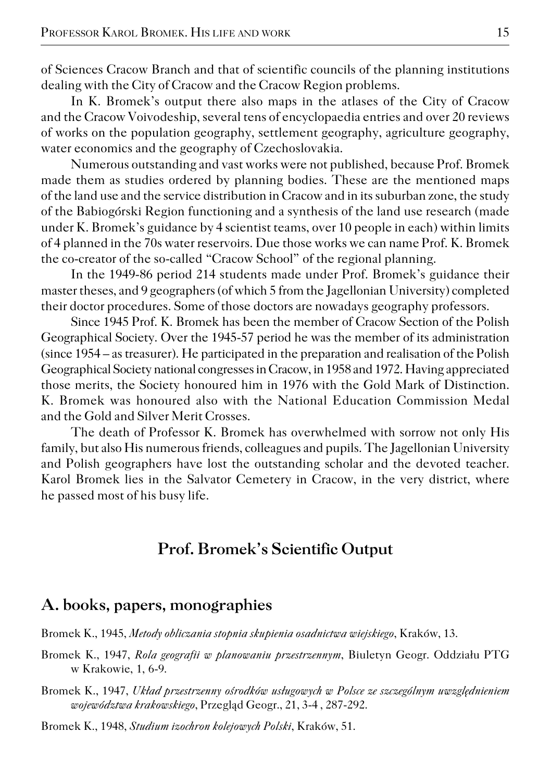of Sciences Cracow Branch and that of scientific councils of the planning institutions dealing with the City of Cracow and the Cracow Region problems.

In K. Bromek's output there also maps in the atlases of the City of Cracow and the Cracow Voivodeship, several tens of encyclopaedia entries and over 20 reviews of works on the population geography, settlement geography, agriculture geography, water economics and the geography of Czechoslovakia.

Numerous outstanding and vast works were not published, because Prof. Bromek made them as studies ordered by planning bodies. These are the mentioned maps of the land use and the service distribution in Cracow and in its suburban zone, the study of the Babiogórski Region functioning and a synthesis of the land use research (made under K. Bromek's guidance by 4 scientist teams, over 10 people in each) within limits of 4 planned in the 70s water reservoirs. Due those works we can name Prof. K. Bromek the co−creator of the so−called "Cracow School" of the regional planning.

In the 1949−86 period 214 students made under Prof. Bromek's guidance their master theses, and 9 geographers (of which 5 from the Jagellonian University) completed their doctor procedures. Some of those doctors are nowadays geography professors.

Since 1945 Prof. K. Bromek has been the member of Cracow Section of the Polish Geographical Society. Over the 1945−57 period he was the member of its administration (since 1954 – as treasurer). He participated in the preparation and realisation of the Polish Geographical Society national congresses in Cracow, in 1958 and 1972. Having appreciated those merits, the Society honoured him in 1976 with the Gold Mark of Distinction. K. Bromek was honoured also with the National Education Commission Medal and the Gold and Silver Merit Crosses.

The death of Professor K. Bromek has overwhelmed with sorrow not only His family, but also His numerous friends, colleagues and pupils. The Jagellonian University and Polish geographers have lost the outstanding scholar and the devoted teacher. Karol Bromek lies in the Salvator Cemetery in Cracow, in the very district, where he passed most of his busy life.

## **Prof. Bromek's Scientific Output**

#### **A. books, papers, monographies**

Bromek K., 1945, *Metody obliczania stopnia skupienia osadnictwa wiejskiego*, Kraków, 13.

Bromek K., 1947, *Rola geografii w planowaniu przestrzennym*, Biuletyn Geogr. Oddziału PTG w Krakowie, 1, 6−9.

Bromek K., 1947, *Układ przestrzenny ośrodków usługowych w Polsce ze szczególnym uwzględnieniem województwa krakowskiego*, Przegląd Geogr., 21, 3−4 , 287−292.

Bromek K., 1948, *Studium izochron kolejowych Polski*, Kraków, 51.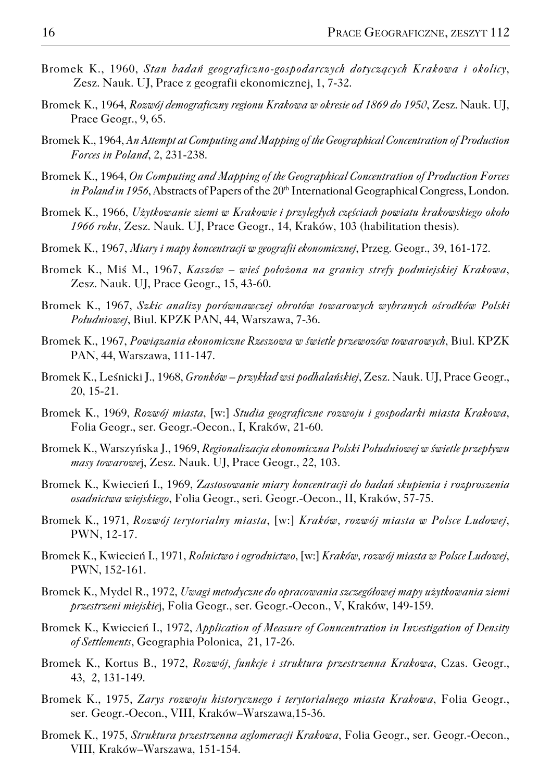- Bromek K., 1960, *Stan badań geograficzno−gospodarczych dotyczących Krakowa i okolicy*, Zesz. Nauk. UJ, Prace z geografii ekonomicznej, 1, 7−32.
- Bromek K., 1964, *Rozwój demograficzny regionu Krakowa w okresie od 1869 do 1950*, Zesz. Nauk. UJ, Prace Geogr., 9, 65.
- Bromek K., 1964, *An Attempt at Computing and Mapping of the Geographical Concentration of Production Forces in Poland*, 2, 231−238.
- Bromek K., 1964, *On Computing and Mapping of the Geographical Concentration of Production Forces in Poland in 1956*, Abstracts of Papers of the 20<sup>th</sup> International Geographical Congress, London.
- Bromek K., 1966, *Użytkowanie ziemi w Krakowie i przyległych częściach powiatu krakowskiego około 1966 roku*, Zesz. Nauk. UJ, Prace Geogr., 14, Kraków, 103 (habilitation thesis).
- Bromek K., 1967, *Miary i mapy koncentracji w geografii ekonomicznej*, Przeg. Geogr., 39, 161−172.
- Bromek K., Miś M., 1967, *Kaszów wieś położona na granicy strefy podmiejskiej Krakowa*, Zesz. Nauk. UJ, Prace Geogr., 15, 43−60.
- Bromek K., 1967, *Szkic analizy porównawczej obrotów towarowych wybranych ośrodków Polski Południowej*, Biul. KPZK PAN, 44, Warszawa, 7−36.
- Bromek K., 1967, *Powiązania ekonomiczne Rzeszowa w świetle przewozów towarowych*, Biul. KPZK PAN, 44, Warszawa, 111−147.
- Bromek K., Leśnicki J., 1968, *Gronków przykład wsi podhalańskiej*, Zesz. Nauk. UJ, Prace Geogr., 20, 15−21.
- Bromek K., 1969, *Rozwój miasta*, [w:] *Studia geograficzne rozwoju i gospodarki miasta Krakowa*, Folia Geogr., ser. Geogr.−Oecon., I, Kraków, 21−60.
- Bromek K., Warszyńska J., 1969, *Regionalizacja ekonomiczna Polski Południowej w świetle przepływu masy towarowe*j, Zesz. Nauk. UJ, Prace Geogr., 22, 103.
- Bromek K., Kwiecień I., 1969, Z*astosowanie miary koncentracji do badań skupienia i rozproszenia osadnictwa wiejskiego*, Folia Geogr., seri. Geogr.−Oecon., II, Kraków, 57−75.
- Bromek K., 1971, *Rozwój terytorialny miasta*, [w:] *Kraków, rozwój miasta w Polsce Ludowej*, PWN, 12−17.
- Bromek K., Kwiecień I., 1971, *Rolnictwo i ogrodnictwo*, [w:] *Kraków, rozwój miasta w Polsce Ludowej*, PWN, 152−161.
- Bromek K., Mydel R., 1972, *Uwagi metodyczne do opracowania szczegółowej mapy użytkowania ziemi przestrzeni miejskie*j, Folia Geogr., ser. Geogr.−Oecon., V, Kraków, 149−159.
- Bromek K., Kwiecień I., 1972, *Application of Measure of Conncentration in Investigation of Density of Settlements*, Geographia Polonica, 21, 17−26.
- Bromek K., Kortus B., 1972, *Rozwój, funkcje i struktura przestrzenna Krakowa*, Czas. Geogr., 43, 2, 131−149.
- Bromek K., 1975, *Zarys rozwoju historycznego i terytorialnego miasta Krakowa*, Folia Geogr., ser. Geogr.−Oecon., VIII, Kraków–Warszawa,15−36.
- Bromek K., 1975, *Struktura przestrzenna aglomeracji Krakowa*, Folia Geogr., ser. Geogr.−Oecon., VIII, Kraków–Warszawa, 151−154.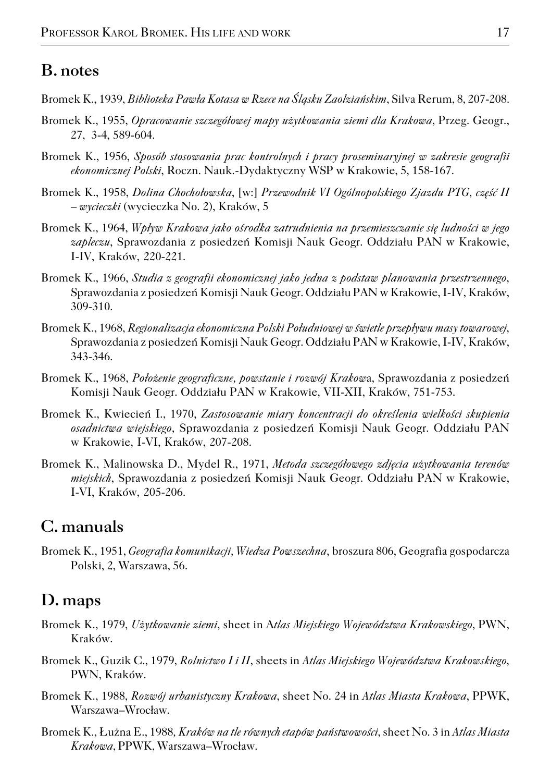### **B. notes**

- Bromek K., 1939, *Biblioteka Pawła Kotasa w Rzece na Śląsku Zaolziańskim*, Silva Rerum, 8, 207−208.
- Bromek K., 1955, *Opracowanie szczegółowej mapy użytkowania ziemi dla Krakowa*, Przeg. Geogr., 27, 3−4, 589−604.
- Bromek K., 1956, *Sposób stosowania prac kontrolnych i pracy proseminaryjnej w zakresie geografii ekonomicznej Polski*, Roczn. Nauk.−Dydaktyczny WSP w Krakowie, 5, 158−167.
- Bromek K., 1958, *Dolina Chochołowska*, [w:] *Przewodnik VI Ogólnopolskiego Zjazdu PTG, część II – wycieczki* (wycieczka No. 2), Kraków, 5
- Bromek K., 1964, *Wpływ Krakowa jako ośrodka zatrudnienia na przemieszczanie się ludności w jego zapleczu*, Sprawozdania z posiedzeń Komisji Nauk Geogr. Oddziału PAN w Krakowie, I−IV, Kraków, 220−221.
- Bromek K., 1966, *Studia z geografii ekonomicznej jako jedna z podstaw planowania przestrzennego*, Sprawozdania z posiedzeń Komisji Nauk Geogr. Oddziału PAN w Krakowie, I−IV, Kraków, 309−310.
- Bromek K., 1968, *Regionalizacja ekonomiczna Polski Południowej w świetle przepływu masy towarowej*, Sprawozdania z posiedzeń Komisji Nauk Geogr. Oddziału PAN w Krakowie, I−IV, Kraków, 343−346.
- Bromek K., 1968, *Położenie geograficzne, powstanie i rozwój Krakow*a, Sprawozdania z posiedzeń Komisji Nauk Geogr. Oddziału PAN w Krakowie, VII−XII, Kraków, 751−753.
- Bromek K., Kwiecień I., 1970, *Zastosowanie miary koncentracji do określenia wielkości skupienia osadnictwa wiejskiego*, Sprawozdania z posiedzeń Komisji Nauk Geogr. Oddziału PAN w Krakowie, I−VI, Kraków, 207−208.
- Bromek K., Malinowska D., Mydel R., 1971, *Metoda szczegółowego zdjęcia użytkowania terenów miejskich*, Sprawozdania z posiedzeń Komisji Nauk Geogr. Oddziału PAN w Krakowie, I−VI, Kraków, 205−206.

## **C. manuals**

Bromek K., 1951, *Geografia komunikacji, Wiedza Powszechna*, broszura 806, Geografia gospodarcza Polski, 2, Warszawa, 56.

#### **D. maps**

- Bromek K., 1979, *Użytkowanie ziemi*, sheet in A*tlas Miejskiego Województwa Krakowskiego*, PWN, Kraków.
- Bromek K., Guzik C., 1979, *Rolnictwo I i II*, sheets in *Atlas Miejskiego Województwa Krakowskiego*, PWN, Kraków.
- Bromek K., 1988, *Rozwój urbanistyczny Krakowa*, sheet No. 24 in *Atlas Miasta Krakowa*, PPWK, Warszawa–Wrocław.
- Bromek K., Łużna E., 1988*, Kraków na tle równych etapów państwowości*, sheet No. 3 in *Atlas Miasta Krakowa*, PPWK, Warszawa–Wrocław.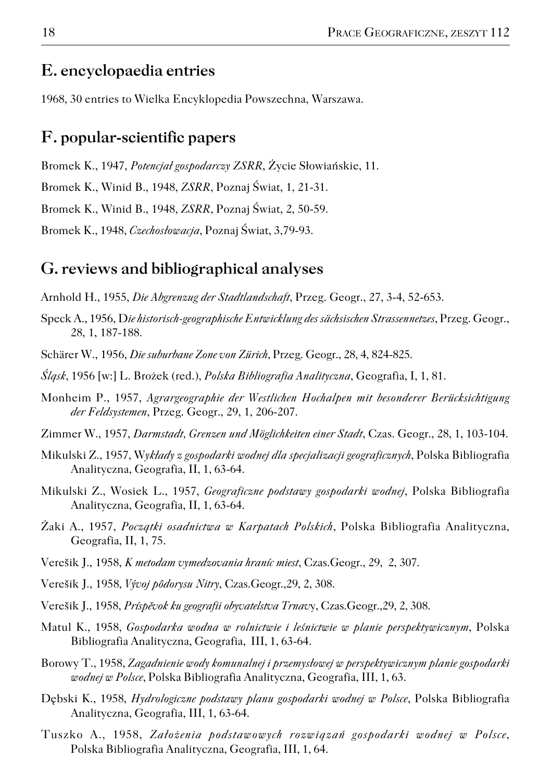#### **E. encyclopaedia entries**

1968, 30 entries to Wielka Encyklopedia Powszechna, Warszawa.

## **F. popular−scientific papers**

Bromek K., 1947, *Potencjał gospodarczy ZSRR*, Życie Słowiańskie, 11.

Bromek K., Winid B., 1948, *ZSRR*, Poznaj Świat, 1, 21−31.

Bromek K., Winid B., 1948, *ZSRR*, Poznaj Świat, 2, 50−59.

Bromek K., 1948, *Czechosłowacja*, Poznaj Świat, 3,79−93.

#### **G. reviews and bibliographical analyses**

Arnhold H., 1955, *Die Abgrenzug der Stadtlandschaft*, Przeg. Geogr., 27, 3−4, 52−653.

- Speck A., 1956, D*ie historisch−geographische Entwicklung des sächsischen Strassennetzes*, Przeg. Geogr., 28, 1, 187−188.
- Schärer W., 1956, *Die suburbane Zone von Zürich*, Przeg. Geogr., 28, 4, 824−825.

*Śląsk*, 1956 [w:] L. Brożek (red.), *Polska Bibliografia Analityczna*, Geografia, I, 1, 81.

- Monheim P., 1957, *Agrargeographie der Westlichen Hochalpen mit besonderer Berücksichtigung der Feldsystemen*, Przeg. Geogr., 29, 1, 206−207.
- Zimmer W., 1957, *Darmstadt, Grenzen und Möglichkeiten einer Stadt*, Czas. Geogr., 28, 1, 103−104.
- Mikulski Z., 1957, W*ykłady z gospodarki wodnej dla specjalizacji geograficznych*, Polska Bibliografia Analityczna, Geografia, II, 1, 63−64.
- Mikulski Z., Wosiek L., 1957, *Geograficzne podstawy gospodarki wodnej*, Polska Bibliografia Analityczna, Geografia, II, 1, 63−64.
- Żaki A., 1957, *Początki osadnictwa w Karpatach Polskich*, Polska Bibliografia Analityczna, Geografia, II, 1, 75.
- Verešik J., 1958, *K metodam vymedzovania hraníc miest*, Czas.Geogr., 29, 2, 307.
- Verešik J., 1958, *Vývoj pôdorysu Nitry*, Czas.Geogr.,29, 2, 308.
- Verešik J., 1958, *Príspěvok ku geografii obyvatelstva Trnav*y, Czas.Geogr.,29, 2, 308.
- Matul K., 1958, *Gospodarka wodna w rolnictwie i leśnictwie w planie perspektywicznym*, Polska Bibliografia Analityczna, Geografia, III, 1, 63−64.
- Borowy T., 1958, *Zagadnienie wody komunalnej i przemysłowej w perspektywicznym planie gospodarki wodnej w Polsce*, Polska Bibliografia Analityczna, Geografia, III, 1, 63.
- Dębski K., 1958, *Hydrologiczne podstawy planu gospodarki wodnej w Polsce*, Polska Bibliografia Analityczna, Geografia, III, 1, 63−64.
- Tuszko A., 1958, *Założenia podstawowych rozwiązań gospodarki wodnej w Polsce*, Polska Bibliografia Analityczna, Geografia, III, 1, 64.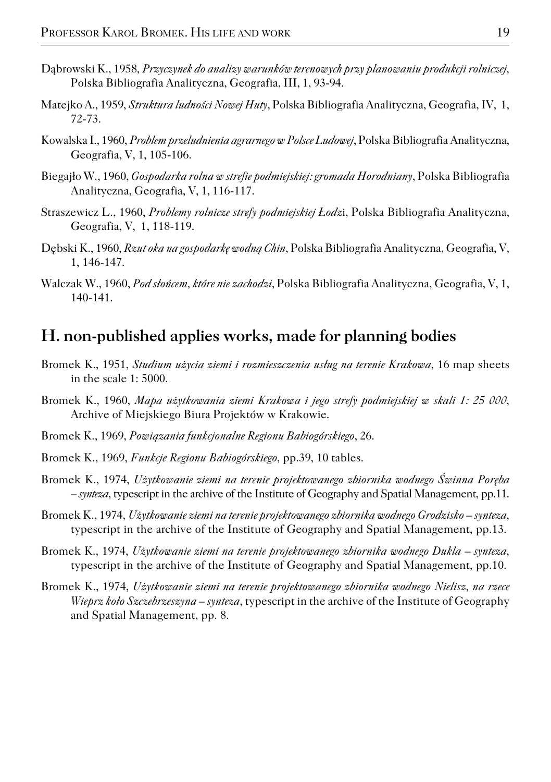- Dąbrowski K., 1958, *Przyczynek do analizy warunków terenowych przy planowaniu produkcji rolniczej*, Polska Bibliografia Analityczna, Geografia, III, 1, 93−94.
- Matejko A., 1959, *Struktura ludności Nowej Huty*, Polska Bibliografia Analityczna, Geografia, IV, 1, 72−73.
- Kowalska I., 1960, *Problem przeludnienia agrarnego w Polsce Ludowej*, Polska Bibliografia Analityczna, Geografia, V, 1, 105−106.
- Biegajło W., 1960, *Gospodarka rolna w strefie podmiejskiej: gromada Horodniany*, Polska Bibliografia Analityczna, Geografia, V, 1, 116−117.
- Straszewicz L., 1960, *Problemy rolnicze strefy podmiejskiej Łodz*i, Polska Bibliografia Analityczna, Geografia, V, 1, 118−119.
- Dębski K., 1960, *Rzut oka na gospodarkę wodną Chin*, Polska Bibliografia Analityczna, Geografia, V, 1, 146−147.
- Walczak W., 1960, *Pod słońcem, które nie zachodzi*, Polska Bibliografia Analityczna, Geografia, V, 1, 140−141.

#### **H. non−published applies works, made for planning bodies**

- Bromek K., 1951, *Studium użycia ziemi i rozmieszczenia usług na terenie Krakowa*, 16 map sheets in the scale 1: 5000.
- Bromek K., 1960, *Mapa użytkowania ziemi Krakowa i jego strefy podmiejskiej w skali 1: 25 000*, Archive of Miejskiego Biura Projektów w Krakowie.
- Bromek K., 1969, *Powiązania funkcjonalne Regionu Babiogórskiego*, 26.
- Bromek K., 1969, *Funkcje Regionu Babiogórskiego*, pp.39, 10 tables.
- Bromek K., 1974, *Użytkowanie ziemi na terenie projektowanego zbiornika wodnego Świnna Poręba – synteza*, typescript in the archive of the Institute of Geography and Spatial Management, pp.11.
- Bromek K., 1974, *Użytkowanie ziemi na terenie projektowanego zbiornika wodnego Grodzisko synteza*, typescript in the archive of the Institute of Geography and Spatial Management, pp.13.
- Bromek K., 1974, *Użytkowanie ziemi na terenie projektowanego zbiornika wodnego Dukla synteza*, typescript in the archive of the Institute of Geography and Spatial Management, pp.10.
- Bromek K., 1974, *Użytkowanie ziemi na terenie projektowanego zbiornika wodnego Nielisz, na rzece Wieprz koło Szczebrzeszyna – synteza*, typescript in the archive of the Institute of Geography and Spatial Management, pp. 8.